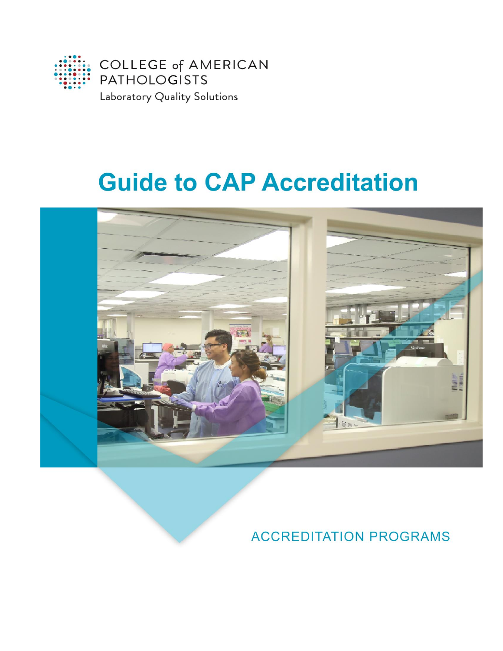

# **Guide to CAP Accreditation**



# **ACCREDITATION PROGRAMS**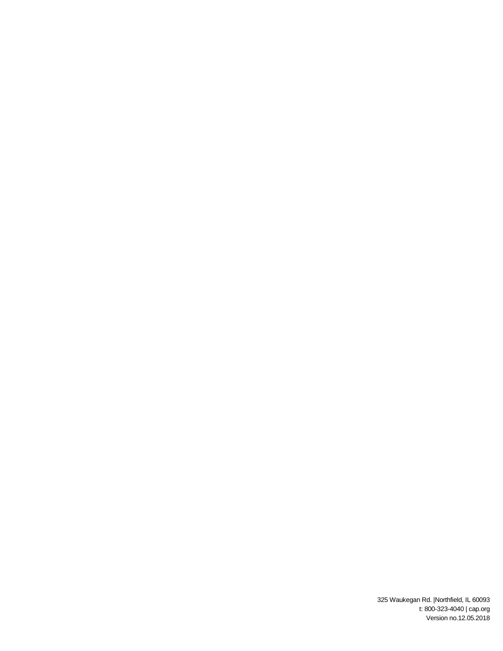325 Waukegan Rd. |Northfield, IL 60093 t: 800-323-4040 | cap.org Version no.12.05.2018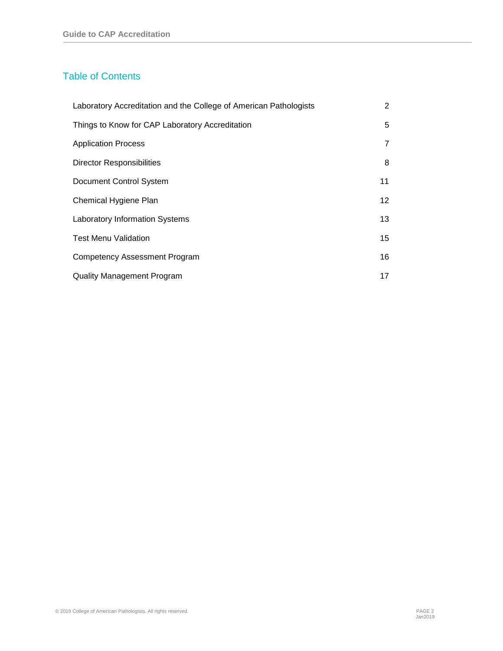# Table of Contents

| Laboratory Accreditation and the College of American Pathologists | 2              |
|-------------------------------------------------------------------|----------------|
| Things to Know for CAP Laboratory Accreditation                   | 5              |
| <b>Application Process</b>                                        | $\overline{7}$ |
| <b>Director Responsibilities</b>                                  | 8              |
| Document Control System                                           | 11             |
| Chemical Hygiene Plan                                             | 12             |
| <b>Laboratory Information Systems</b>                             | 13             |
| <b>Test Menu Validation</b>                                       | 15             |
| <b>Competency Assessment Program</b>                              | 16             |
| <b>Quality Management Program</b>                                 | 17             |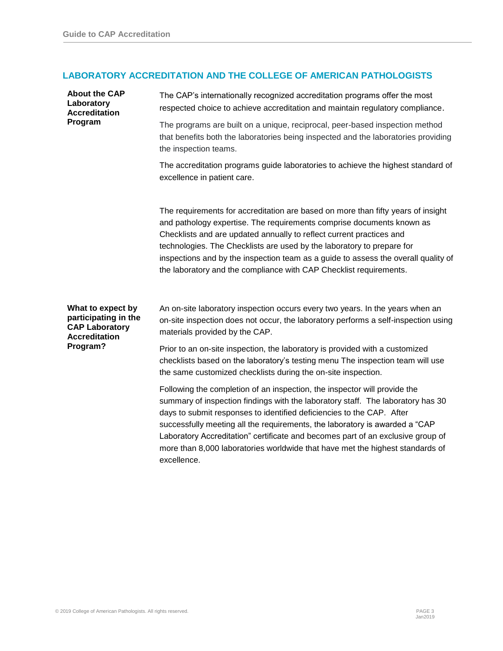# **LABORATORY ACCREDITATION AND THE COLLEGE OF AMERICAN PATHOLOGISTS**

| <b>About the CAP</b><br>Laboratory<br><b>Accreditation</b><br>Program                                  | The CAP's internationally recognized accreditation programs offer the most<br>respected choice to achieve accreditation and maintain regulatory compliance.                                                                                                                                                                                                                                                                                                                                             |
|--------------------------------------------------------------------------------------------------------|---------------------------------------------------------------------------------------------------------------------------------------------------------------------------------------------------------------------------------------------------------------------------------------------------------------------------------------------------------------------------------------------------------------------------------------------------------------------------------------------------------|
|                                                                                                        | The programs are built on a unique, reciprocal, peer-based inspection method<br>that benefits both the laboratories being inspected and the laboratories providing<br>the inspection teams.                                                                                                                                                                                                                                                                                                             |
|                                                                                                        | The accreditation programs guide laboratories to achieve the highest standard of<br>excellence in patient care.                                                                                                                                                                                                                                                                                                                                                                                         |
|                                                                                                        | The requirements for accreditation are based on more than fifty years of insight<br>and pathology expertise. The requirements comprise documents known as<br>Checklists and are updated annually to reflect current practices and<br>technologies. The Checklists are used by the laboratory to prepare for<br>inspections and by the inspection team as a guide to assess the overall quality of<br>the laboratory and the compliance with CAP Checklist requirements.                                 |
| What to expect by<br>participating in the<br><b>CAP Laboratory</b><br><b>Accreditation</b><br>Program? | An on-site laboratory inspection occurs every two years. In the years when an<br>on-site inspection does not occur, the laboratory performs a self-inspection using<br>materials provided by the CAP.                                                                                                                                                                                                                                                                                                   |
|                                                                                                        | Prior to an on-site inspection, the laboratory is provided with a customized<br>checklists based on the laboratory's testing menu The inspection team will use<br>the same customized checklists during the on-site inspection.                                                                                                                                                                                                                                                                         |
|                                                                                                        | Following the completion of an inspection, the inspector will provide the<br>summary of inspection findings with the laboratory staff. The laboratory has 30<br>days to submit responses to identified deficiencies to the CAP. After<br>successfully meeting all the requirements, the laboratory is awarded a "CAP<br>Laboratory Accreditation" certificate and becomes part of an exclusive group of<br>more than 8,000 laboratories worldwide that have met the highest standards of<br>excellence. |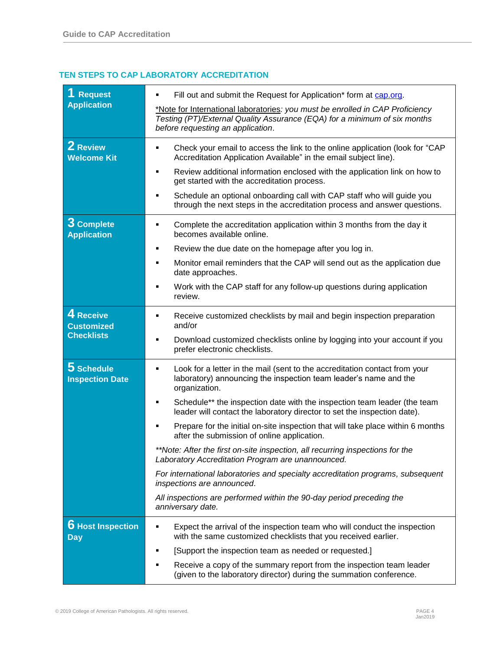### **TEN STEPS TO CAP LABORATORY ACCREDITATION**

| <b>Request</b><br><b>Application</b>                | Fill out and submit the Request for Application* form at cap.org.<br>٠<br>*Note for International laboratories: you must be enrolled in CAP Proficiency<br>Testing (PT)/External Quality Assurance (EQA) for a minimum of six months<br>before requesting an application.                                                                                                                                                                                                                                                                                                                                                                                                                                                                                                                                               |
|-----------------------------------------------------|-------------------------------------------------------------------------------------------------------------------------------------------------------------------------------------------------------------------------------------------------------------------------------------------------------------------------------------------------------------------------------------------------------------------------------------------------------------------------------------------------------------------------------------------------------------------------------------------------------------------------------------------------------------------------------------------------------------------------------------------------------------------------------------------------------------------------|
| 2 Review<br><b>Welcome Kit</b>                      | Check your email to access the link to the online application (look for "CAP<br>٠<br>Accreditation Application Available" in the email subject line).<br>Review additional information enclosed with the application link on how to<br>٠<br>get started with the accreditation process.<br>Schedule an optional onboarding call with CAP staff who will guide you<br>٠<br>through the next steps in the accreditation process and answer questions.                                                                                                                                                                                                                                                                                                                                                                     |
| 3 Complete<br><b>Application</b>                    | Complete the accreditation application within 3 months from the day it<br>٠<br>becomes available online.<br>Review the due date on the homepage after you log in.<br>Monitor email reminders that the CAP will send out as the application due<br>٠<br>date approaches.<br>Work with the CAP staff for any follow-up questions during application<br>review.                                                                                                                                                                                                                                                                                                                                                                                                                                                            |
| 4 Receive<br><b>Customized</b><br><b>Checklists</b> | Receive customized checklists by mail and begin inspection preparation<br>٠<br>and/or<br>Download customized checklists online by logging into your account if you<br>٠<br>prefer electronic checklists.                                                                                                                                                                                                                                                                                                                                                                                                                                                                                                                                                                                                                |
| 5 Schedule<br><b>Inspection Date</b>                | Look for a letter in the mail (sent to the accreditation contact from your<br>٠<br>laboratory) announcing the inspection team leader's name and the<br>organization.<br>Schedule** the inspection date with the inspection team leader (the team<br>٠<br>leader will contact the laboratory director to set the inspection date).<br>Prepare for the initial on-site inspection that will take place within 6 months<br>after the submission of online application.<br>**Note: After the first on-site inspection, all recurring inspections for the<br>Laboratory Accreditation Program are unannounced.<br>For international laboratories and specialty accreditation programs, subsequent<br>inspections are announced.<br>All inspections are performed within the 90-day period preceding the<br>anniversary date. |
| <b>6</b> Host Inspection<br><b>Day</b>              | Expect the arrival of the inspection team who will conduct the inspection<br>٠<br>with the same customized checklists that you received earlier.<br>[Support the inspection team as needed or requested.]<br>п<br>Receive a copy of the summary report from the inspection team leader<br>(given to the laboratory director) during the summation conference.                                                                                                                                                                                                                                                                                                                                                                                                                                                           |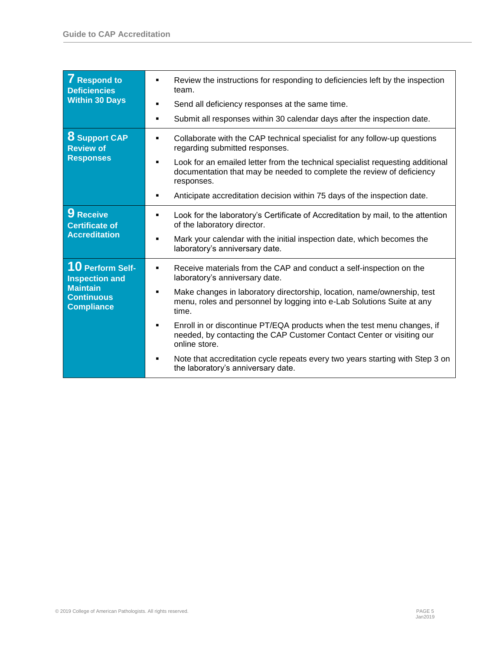| <b>7</b> Respond to<br><b>Deficiencies</b><br><b>Within 30 Days</b>                                    | Review the instructions for responding to deficiencies left by the inspection<br>٠<br>team.<br>Send all deficiency responses at the same time.<br>Submit all responses within 30 calendar days after the inspection date.<br>٠                                                                                                                                                                                                                                                                                                                                                      |
|--------------------------------------------------------------------------------------------------------|-------------------------------------------------------------------------------------------------------------------------------------------------------------------------------------------------------------------------------------------------------------------------------------------------------------------------------------------------------------------------------------------------------------------------------------------------------------------------------------------------------------------------------------------------------------------------------------|
| <b>8 Support CAP</b><br><b>Review of</b><br><b>Responses</b>                                           | Collaborate with the CAP technical specialist for any follow-up questions<br>٠<br>regarding submitted responses.<br>Look for an emailed letter from the technical specialist requesting additional<br>٠<br>documentation that may be needed to complete the review of deficiency<br>responses.<br>Anticipate accreditation decision within 75 days of the inspection date.<br>٠                                                                                                                                                                                                     |
| 9 Receive<br><b>Certificate of</b><br><b>Accreditation</b>                                             | Look for the laboratory's Certificate of Accreditation by mail, to the attention<br>of the laboratory director.<br>Mark your calendar with the initial inspection date, which becomes the<br>laboratory's anniversary date.                                                                                                                                                                                                                                                                                                                                                         |
| 10 Perform Self-<br><b>Inspection and</b><br><b>Maintain</b><br><b>Continuous</b><br><b>Compliance</b> | Receive materials from the CAP and conduct a self-inspection on the<br>٠<br>laboratory's anniversary date.<br>Make changes in laboratory directorship, location, name/ownership, test<br>٠<br>menu, roles and personnel by logging into e-Lab Solutions Suite at any<br>time.<br>Enroll in or discontinue PT/EQA products when the test menu changes, if<br>٠<br>needed, by contacting the CAP Customer Contact Center or visiting our<br>online store.<br>Note that accreditation cycle repeats every two years starting with Step 3 on<br>٠<br>the laboratory's anniversary date. |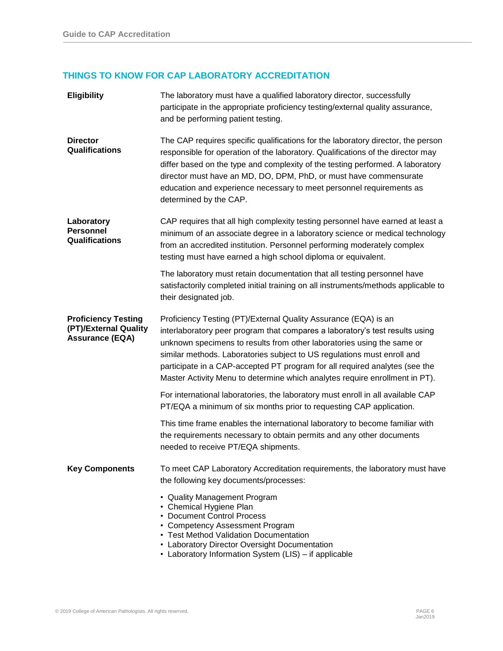# **THINGS TO KNOW FOR CAP LABORATORY ACCREDITATION**

| <b>Eligibility</b>                                                            | The laboratory must have a qualified laboratory director, successfully<br>participate in the appropriate proficiency testing/external quality assurance,<br>and be performing patient testing.                                                                                                                                                                                                                                                                     |
|-------------------------------------------------------------------------------|--------------------------------------------------------------------------------------------------------------------------------------------------------------------------------------------------------------------------------------------------------------------------------------------------------------------------------------------------------------------------------------------------------------------------------------------------------------------|
| <b>Director</b><br>Qualifications                                             | The CAP requires specific qualifications for the laboratory director, the person<br>responsible for operation of the laboratory. Qualifications of the director may<br>differ based on the type and complexity of the testing performed. A laboratory<br>director must have an MD, DO, DPM, PhD, or must have commensurate<br>education and experience necessary to meet personnel requirements as<br>determined by the CAP.                                       |
| Laboratory<br><b>Personnel</b><br>Qualifications                              | CAP requires that all high complexity testing personnel have earned at least a<br>minimum of an associate degree in a laboratory science or medical technology<br>from an accredited institution. Personnel performing moderately complex<br>testing must have earned a high school diploma or equivalent.                                                                                                                                                         |
|                                                                               | The laboratory must retain documentation that all testing personnel have<br>satisfactorily completed initial training on all instruments/methods applicable to<br>their designated job.                                                                                                                                                                                                                                                                            |
| <b>Proficiency Testing</b><br>(PT)/External Quality<br><b>Assurance (EQA)</b> | Proficiency Testing (PT)/External Quality Assurance (EQA) is an<br>interlaboratory peer program that compares a laboratory's test results using<br>unknown specimens to results from other laboratories using the same or<br>similar methods. Laboratories subject to US regulations must enroll and<br>participate in a CAP-accepted PT program for all required analytes (see the<br>Master Activity Menu to determine which analytes require enrollment in PT). |
|                                                                               | For international laboratories, the laboratory must enroll in all available CAP<br>PT/EQA a minimum of six months prior to requesting CAP application.                                                                                                                                                                                                                                                                                                             |
|                                                                               | This time frame enables the international laboratory to become familiar with<br>the requirements necessary to obtain permits and any other documents<br>needed to receive PT/EQA shipments.                                                                                                                                                                                                                                                                        |
| <b>Key Components</b>                                                         | To meet CAP Laboratory Accreditation requirements, the laboratory must have<br>the following key documents/processes:<br>• Quality Management Program<br>• Chemical Hygiene Plan<br>• Document Control Process<br>• Competency Assessment Program<br>• Test Method Validation Documentation<br>• Laboratory Director Oversight Documentation<br>• Laboratory Information System (LIS) - if applicable                                                              |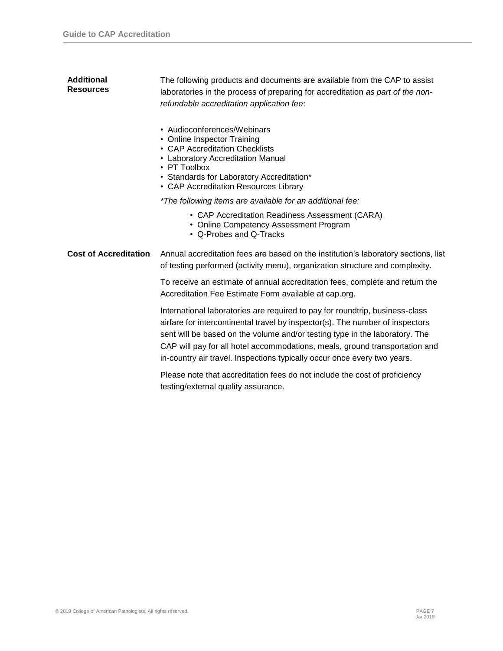| <b>Additional</b><br><b>Resources</b> | The following products and documents are available from the CAP to assist<br>laboratories in the process of preparing for accreditation as part of the non-<br>refundable accreditation application fee:                                                                                                                                                                                                |
|---------------------------------------|---------------------------------------------------------------------------------------------------------------------------------------------------------------------------------------------------------------------------------------------------------------------------------------------------------------------------------------------------------------------------------------------------------|
|                                       | • Audioconferences/Webinars<br>• Online Inspector Training<br>• CAP Accreditation Checklists<br>• Laboratory Accreditation Manual<br>• PT Toolbox<br>• Standards for Laboratory Accreditation*<br>• CAP Accreditation Resources Library                                                                                                                                                                 |
|                                       | *The following items are available for an additional fee:                                                                                                                                                                                                                                                                                                                                               |
|                                       | • CAP Accreditation Readiness Assessment (CARA)<br>• Online Competency Assessment Program<br>• Q-Probes and Q-Tracks                                                                                                                                                                                                                                                                                    |
| <b>Cost of Accreditation</b>          | Annual accreditation fees are based on the institution's laboratory sections, list<br>of testing performed (activity menu), organization structure and complexity.                                                                                                                                                                                                                                      |
|                                       | To receive an estimate of annual accreditation fees, complete and return the<br>Accreditation Fee Estimate Form available at cap.org.                                                                                                                                                                                                                                                                   |
|                                       | International laboratories are required to pay for roundtrip, business-class<br>airfare for intercontinental travel by inspector(s). The number of inspectors<br>sent will be based on the volume and/or testing type in the laboratory. The<br>CAP will pay for all hotel accommodations, meals, ground transportation and<br>in-country air travel. Inspections typically occur once every two years. |
|                                       | Please note that accreditation fees do not include the cost of proficiency<br>testing/external quality assurance.                                                                                                                                                                                                                                                                                       |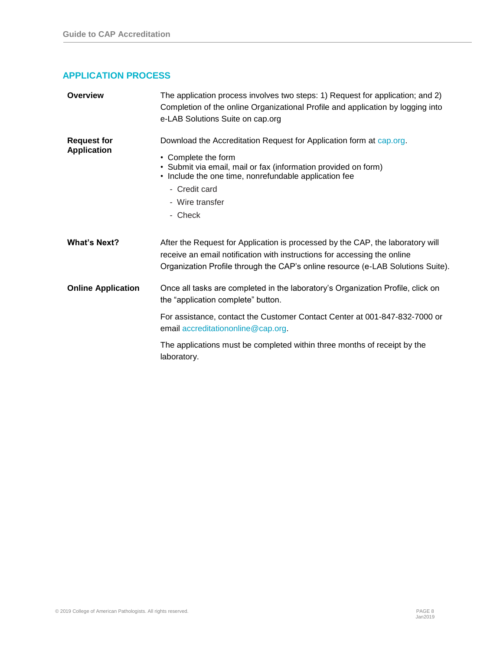# **APPLICATION PROCESS**

| Overview                                 | The application process involves two steps: 1) Request for application; and 2)<br>Completion of the online Organizational Profile and application by logging into<br>e-LAB Solutions Suite on cap.org                                                                |
|------------------------------------------|----------------------------------------------------------------------------------------------------------------------------------------------------------------------------------------------------------------------------------------------------------------------|
| <b>Request for</b><br><b>Application</b> | Download the Accreditation Request for Application form at cap.org.<br>• Complete the form<br>• Submit via email, mail or fax (information provided on form)<br>• Include the one time, nonrefundable application fee<br>- Credit card<br>- Wire transfer<br>- Check |
| <b>What's Next?</b>                      | After the Request for Application is processed by the CAP, the laboratory will<br>receive an email notification with instructions for accessing the online<br>Organization Profile through the CAP's online resource (e-LAB Solutions Suite).                        |
| <b>Online Application</b>                | Once all tasks are completed in the laboratory's Organization Profile, click on<br>the "application complete" button.                                                                                                                                                |
|                                          | For assistance, contact the Customer Contact Center at 001-847-832-7000 or<br>email accreditationonline@cap.org.                                                                                                                                                     |
|                                          | The applications must be completed within three months of receipt by the<br>laboratory.                                                                                                                                                                              |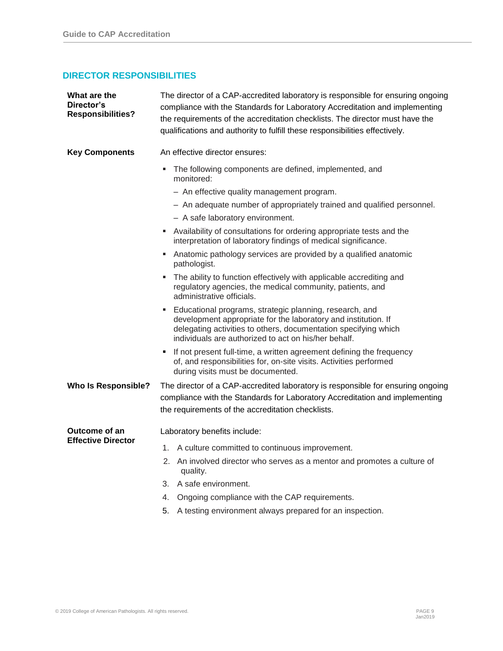# **DIRECTOR RESPONSIBILITIES**

| What are the<br>Director's<br><b>Responsibilities?</b> | The director of a CAP-accredited laboratory is responsible for ensuring ongoing<br>compliance with the Standards for Laboratory Accreditation and implementing<br>the requirements of the accreditation checklists. The director must have the<br>qualifications and authority to fulfill these responsibilities effectively. |
|--------------------------------------------------------|-------------------------------------------------------------------------------------------------------------------------------------------------------------------------------------------------------------------------------------------------------------------------------------------------------------------------------|
| <b>Key Components</b>                                  | An effective director ensures:                                                                                                                                                                                                                                                                                                |
|                                                        | The following components are defined, implemented, and<br>monitored:                                                                                                                                                                                                                                                          |
|                                                        | - An effective quality management program.                                                                                                                                                                                                                                                                                    |
|                                                        | - An adequate number of appropriately trained and qualified personnel.                                                                                                                                                                                                                                                        |
|                                                        | - A safe laboratory environment.                                                                                                                                                                                                                                                                                              |
|                                                        | Availability of consultations for ordering appropriate tests and the<br>interpretation of laboratory findings of medical significance.                                                                                                                                                                                        |
|                                                        | Anatomic pathology services are provided by a qualified anatomic<br>pathologist.                                                                                                                                                                                                                                              |
|                                                        | The ability to function effectively with applicable accrediting and<br>regulatory agencies, the medical community, patients, and<br>administrative officials.                                                                                                                                                                 |
|                                                        | Educational programs, strategic planning, research, and<br>development appropriate for the laboratory and institution. If<br>delegating activities to others, documentation specifying which<br>individuals are authorized to act on his/her behalf.                                                                          |
|                                                        | • If not present full-time, a written agreement defining the frequency<br>of, and responsibilities for, on-site visits. Activities performed<br>during visits must be documented.                                                                                                                                             |
| <b>Who Is Responsible?</b>                             | The director of a CAP-accredited laboratory is responsible for ensuring ongoing<br>compliance with the Standards for Laboratory Accreditation and implementing<br>the requirements of the accreditation checklists.                                                                                                           |
| Outcome of an                                          | Laboratory benefits include:                                                                                                                                                                                                                                                                                                  |
| <b>Effective Director</b>                              | A culture committed to continuous improvement.<br>1.                                                                                                                                                                                                                                                                          |
|                                                        | 2. An involved director who serves as a mentor and promotes a culture of<br>quality.                                                                                                                                                                                                                                          |
|                                                        | 3. A safe environment.                                                                                                                                                                                                                                                                                                        |
|                                                        | Ongoing compliance with the CAP requirements.<br>4.                                                                                                                                                                                                                                                                           |
|                                                        | A testing environment always prepared for an inspection.<br>5.                                                                                                                                                                                                                                                                |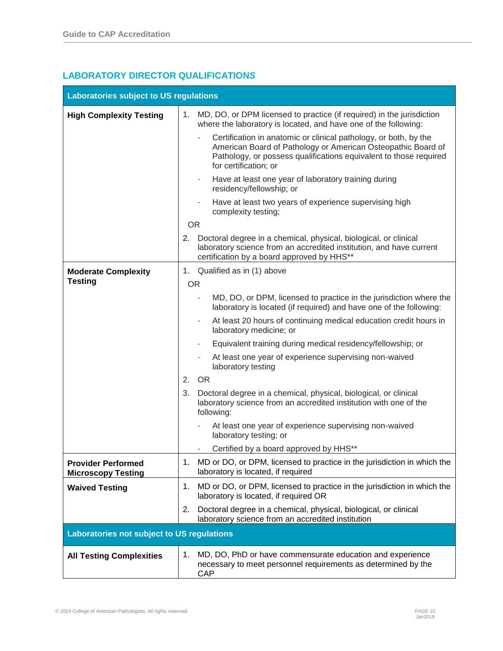# **LABORATORY DIRECTOR QUALIFICATION***S*

| <b>Laboratories subject to US regulations</b>          |                                                                                                                                                                                                                                                            |
|--------------------------------------------------------|------------------------------------------------------------------------------------------------------------------------------------------------------------------------------------------------------------------------------------------------------------|
| <b>High Complexity Testing</b>                         | 1. MD, DO, or DPM licensed to practice (if required) in the jurisdiction<br>where the laboratory is located, and have one of the following:                                                                                                                |
|                                                        | Certification in anatomic or clinical pathology, or both, by the<br>$\overline{\phantom{a}}$<br>American Board of Pathology or American Osteopathic Board of<br>Pathology, or possess qualifications equivalent to those required<br>for certification; or |
|                                                        | Have at least one year of laboratory training during<br>residency/fellowship; or                                                                                                                                                                           |
|                                                        | Have at least two years of experience supervising high<br>complexity testing;                                                                                                                                                                              |
|                                                        | <b>OR</b>                                                                                                                                                                                                                                                  |
|                                                        | Doctoral degree in a chemical, physical, biological, or clinical<br>2.<br>laboratory science from an accredited institution, and have current<br>certification by a board approved by HHS**                                                                |
| <b>Moderate Complexity</b>                             | 1. Qualified as in (1) above                                                                                                                                                                                                                               |
| <b>Testing</b>                                         | <b>OR</b>                                                                                                                                                                                                                                                  |
|                                                        | MD, DO, or DPM, licensed to practice in the jurisdiction where the<br>laboratory is located (if required) and have one of the following:                                                                                                                   |
|                                                        | At least 20 hours of continuing medical education credit hours in<br>$\overline{\phantom{a}}$<br>laboratory medicine; or                                                                                                                                   |
|                                                        | Equivalent training during medical residency/fellowship; or<br>$\overline{\phantom{a}}$                                                                                                                                                                    |
|                                                        | At least one year of experience supervising non-waived<br>laboratory testing                                                                                                                                                                               |
|                                                        | <b>OR</b><br>2.                                                                                                                                                                                                                                            |
|                                                        | Doctoral degree in a chemical, physical, biological, or clinical<br>3.<br>laboratory science from an accredited institution with one of the<br>following:                                                                                                  |
|                                                        | At least one year of experience supervising non-waived<br>laboratory testing; or                                                                                                                                                                           |
|                                                        | Certified by a board approved by HHS**<br>$\overline{\phantom{a}}$                                                                                                                                                                                         |
| <b>Provider Performed</b><br><b>Microscopy Testing</b> | MD or DO, or DPM, licensed to practice in the jurisdiction in which the<br>1.<br>laboratory is located, if required                                                                                                                                        |
| <b>Waived Testing</b>                                  | MD or DO, or DPM, licensed to practice in the jurisdiction in which the<br>1.<br>laboratory is located, if required OR                                                                                                                                     |
|                                                        | Doctoral degree in a chemical, physical, biological, or clinical<br>2.<br>laboratory science from an accredited institution                                                                                                                                |
| Laboratories not subject to US regulations             |                                                                                                                                                                                                                                                            |
| <b>All Testing Complexities</b>                        | MD, DO, PhD or have commensurate education and experience<br>1.<br>necessary to meet personnel requirements as determined by the<br>CAP                                                                                                                    |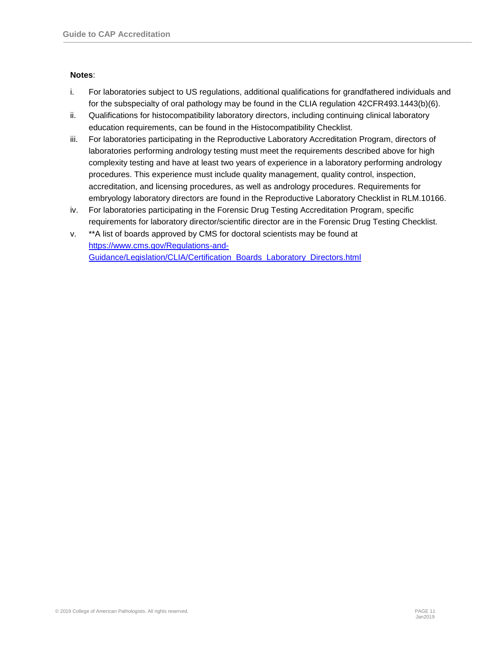#### **Notes**:

- i. For laboratories subject to US regulations, additional qualifications for grandfathered individuals and for the subspecialty of oral pathology may be found in the CLIA regulation 42CFR493.1443(b)(6).
- ii. Qualifications for histocompatibility laboratory directors, including continuing clinical laboratory education requirements, can be found in the Histocompatibility Checklist.
- iii. For laboratories participating in the Reproductive Laboratory Accreditation Program, directors of laboratories performing andrology testing must meet the requirements described above for high complexity testing and have at least two years of experience in a laboratory performing andrology procedures. This experience must include quality management, quality control, inspection, accreditation, and licensing procedures, as well as andrology procedures. Requirements for embryology laboratory directors are found in the Reproductive Laboratory Checklist in RLM.10166.
- iv. For laboratories participating in the Forensic Drug Testing Accreditation Program, specific requirements for laboratory director/scientific director are in the Forensic Drug Testing Checklist.
- v. \*\*A list of boards approved by CMS for doctoral scientists may be found at [https://www.cms.gov/Regulations-and-](https://www.cms.gov/Regulations-and-Guidance/Legislation/CLIA/Certification_Boards_Laboratory_Directors.html)[Guidance/Legislation/CLIA/Certification\\_Boards\\_Laboratory\\_Directors.html](https://www.cms.gov/Regulations-and-Guidance/Legislation/CLIA/Certification_Boards_Laboratory_Directors.html)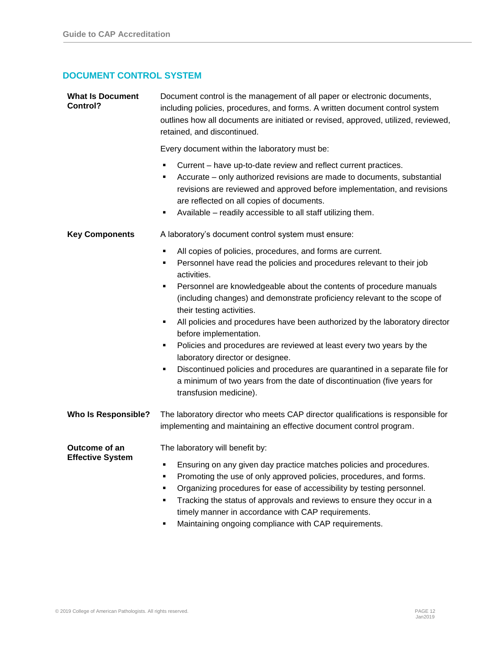# **DOCUMENT CONTROL SYSTEM**

| <b>What Is Document</b><br>Control?             | Document control is the management of all paper or electronic documents,<br>including policies, procedures, and forms. A written document control system<br>outlines how all documents are initiated or revised, approved, utilized, reviewed,<br>retained, and discontinued.                                                                                                                                                                                                                                                                                                                                                                                                                                                                                             |
|-------------------------------------------------|---------------------------------------------------------------------------------------------------------------------------------------------------------------------------------------------------------------------------------------------------------------------------------------------------------------------------------------------------------------------------------------------------------------------------------------------------------------------------------------------------------------------------------------------------------------------------------------------------------------------------------------------------------------------------------------------------------------------------------------------------------------------------|
|                                                 | Every document within the laboratory must be:                                                                                                                                                                                                                                                                                                                                                                                                                                                                                                                                                                                                                                                                                                                             |
|                                                 | Current – have up-to-date review and reflect current practices.<br>٠<br>Accurate – only authorized revisions are made to documents, substantial<br>٠<br>revisions are reviewed and approved before implementation, and revisions<br>are reflected on all copies of documents.<br>Available - readily accessible to all staff utilizing them.<br>٠                                                                                                                                                                                                                                                                                                                                                                                                                         |
| <b>Key Components</b>                           | A laboratory's document control system must ensure:                                                                                                                                                                                                                                                                                                                                                                                                                                                                                                                                                                                                                                                                                                                       |
|                                                 | All copies of policies, procedures, and forms are current.<br>٠<br>Personnel have read the policies and procedures relevant to their job<br>٠<br>activities.<br>Personnel are knowledgeable about the contents of procedure manuals<br>٠<br>(including changes) and demonstrate proficiency relevant to the scope of<br>their testing activities.<br>All policies and procedures have been authorized by the laboratory director<br>٠<br>before implementation.<br>Policies and procedures are reviewed at least every two years by the<br>٠<br>laboratory director or designee.<br>Discontinued policies and procedures are quarantined in a separate file for<br>٠<br>a minimum of two years from the date of discontinuation (five years for<br>transfusion medicine). |
| <b>Who Is Responsible?</b>                      | The laboratory director who meets CAP director qualifications is responsible for<br>implementing and maintaining an effective document control program.                                                                                                                                                                                                                                                                                                                                                                                                                                                                                                                                                                                                                   |
| <b>Outcome of an</b><br><b>Effective System</b> | The laboratory will benefit by:<br>Ensuring on any given day practice matches policies and procedures.<br>Promoting the use of only approved policies, procedures, and forms.<br>٠<br>Organizing procedures for ease of accessibility by testing personnel.<br>٠<br>Tracking the status of approvals and reviews to ensure they occur in a<br>٠<br>timely manner in accordance with CAP requirements.<br>Maintaining ongoing compliance with CAP requirements.<br>٠                                                                                                                                                                                                                                                                                                       |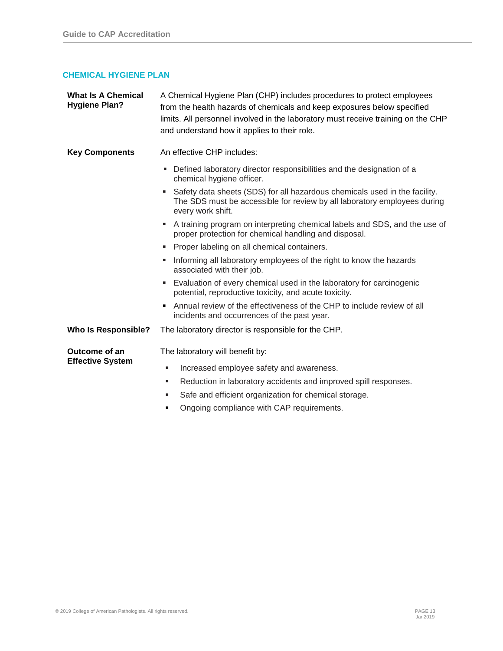## **CHEMICAL HYGIENE PLAN**

| <b>What Is A Chemical</b><br><b>Hygiene Plan?</b> | A Chemical Hygiene Plan (CHP) includes procedures to protect employees<br>from the health hazards of chemicals and keep exposures below specified<br>limits. All personnel involved in the laboratory must receive training on the CHP<br>and understand how it applies to their role. |
|---------------------------------------------------|----------------------------------------------------------------------------------------------------------------------------------------------------------------------------------------------------------------------------------------------------------------------------------------|
| <b>Key Components</b>                             | An effective CHP includes:                                                                                                                                                                                                                                                             |
|                                                   | Defined laboratory director responsibilities and the designation of a<br>ш<br>chemical hygiene officer.                                                                                                                                                                                |
|                                                   | • Safety data sheets (SDS) for all hazardous chemicals used in the facility.<br>The SDS must be accessible for review by all laboratory employees during<br>every work shift.                                                                                                          |
|                                                   | A training program on interpreting chemical labels and SDS, and the use of<br>proper protection for chemical handling and disposal.                                                                                                                                                    |
|                                                   | • Proper labeling on all chemical containers.                                                                                                                                                                                                                                          |
|                                                   | Informing all laboratory employees of the right to know the hazards<br>associated with their job.                                                                                                                                                                                      |
|                                                   | Evaluation of every chemical used in the laboratory for carcinogenic<br>٠<br>potential, reproductive toxicity, and acute toxicity.                                                                                                                                                     |
|                                                   | Annual review of the effectiveness of the CHP to include review of all<br>incidents and occurrences of the past year.                                                                                                                                                                  |
| <b>Who Is Responsible?</b>                        | The laboratory director is responsible for the CHP.                                                                                                                                                                                                                                    |
| Outcome of an<br><b>Effective System</b>          | The laboratory will benefit by:                                                                                                                                                                                                                                                        |
|                                                   | Increased employee safety and awareness.<br>٠                                                                                                                                                                                                                                          |
|                                                   | Reduction in laboratory accidents and improved spill responses.<br>٠                                                                                                                                                                                                                   |
|                                                   | Safe and efficient organization for chemical storage.<br>٠                                                                                                                                                                                                                             |
|                                                   | Ongoing compliance with CAP requirements.                                                                                                                                                                                                                                              |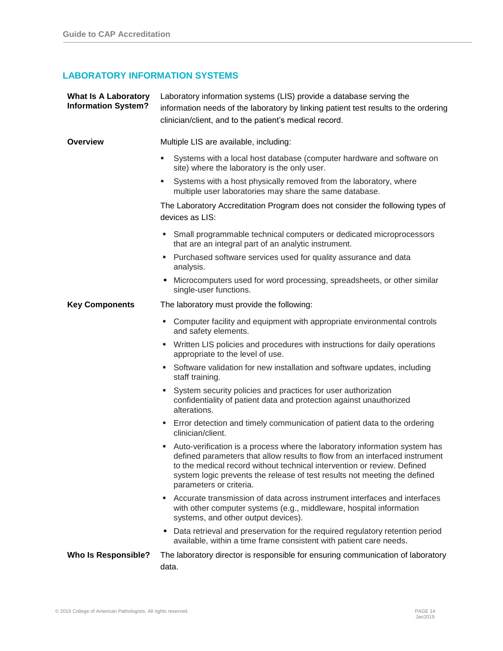# **LABORATORY INFORMATION SYSTEMS**

| <b>What Is A Laboratory</b><br><b>Information System?</b> | Laboratory information systems (LIS) provide a database serving the<br>information needs of the laboratory by linking patient test results to the ordering<br>clinician/client, and to the patient's medical record.                                                                                                                         |
|-----------------------------------------------------------|----------------------------------------------------------------------------------------------------------------------------------------------------------------------------------------------------------------------------------------------------------------------------------------------------------------------------------------------|
| <b>Overview</b>                                           | Multiple LIS are available, including:                                                                                                                                                                                                                                                                                                       |
|                                                           | Systems with a local host database (computer hardware and software on<br>site) where the laboratory is the only user.                                                                                                                                                                                                                        |
|                                                           | Systems with a host physically removed from the laboratory, where<br>٠<br>multiple user laboratories may share the same database.                                                                                                                                                                                                            |
|                                                           | The Laboratory Accreditation Program does not consider the following types of<br>devices as LIS:                                                                                                                                                                                                                                             |
|                                                           | Small programmable technical computers or dedicated microprocessors<br>ш<br>that are an integral part of an analytic instrument.                                                                                                                                                                                                             |
|                                                           | Purchased software services used for quality assurance and data<br>ш<br>analysis.                                                                                                                                                                                                                                                            |
|                                                           | Microcomputers used for word processing, spreadsheets, or other similar<br>٠<br>single-user functions.                                                                                                                                                                                                                                       |
| <b>Key Components</b>                                     | The laboratory must provide the following:                                                                                                                                                                                                                                                                                                   |
|                                                           | Computer facility and equipment with appropriate environmental controls<br>٠<br>and safety elements.                                                                                                                                                                                                                                         |
|                                                           | Written LIS policies and procedures with instructions for daily operations<br>٠<br>appropriate to the level of use.                                                                                                                                                                                                                          |
|                                                           | Software validation for new installation and software updates, including<br>٠<br>staff training.                                                                                                                                                                                                                                             |
|                                                           | System security policies and practices for user authorization<br>confidentiality of patient data and protection against unauthorized<br>alterations.                                                                                                                                                                                         |
|                                                           | • Error detection and timely communication of patient data to the ordering<br>clinician/client.                                                                                                                                                                                                                                              |
|                                                           | Auto-verification is a process where the laboratory information system has<br>defined parameters that allow results to flow from an interfaced instrument<br>to the medical record without technical intervention or review. Defined<br>system logic prevents the release of test results not meeting the defined<br>parameters or criteria. |
|                                                           | Accurate transmission of data across instrument interfaces and interfaces<br>with other computer systems (e.g., middleware, hospital information<br>systems, and other output devices).                                                                                                                                                      |
|                                                           | Data retrieval and preservation for the required regulatory retention period<br>٠<br>available, within a time frame consistent with patient care needs.                                                                                                                                                                                      |
| <b>Who Is Responsible?</b>                                | The laboratory director is responsible for ensuring communication of laboratory<br>data.                                                                                                                                                                                                                                                     |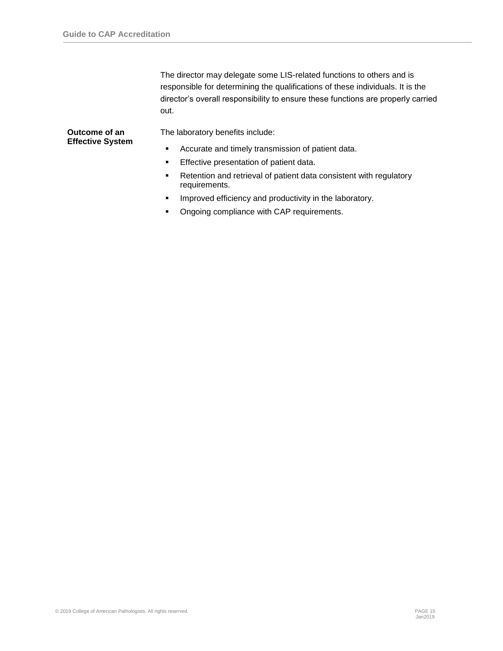The director may delegate some LIS-related functions to others and is responsible for determining the qualifications of these individuals. It is the director's overall responsibility to ensure these functions are properly carried out.

#### **Outcome of an Effective System**

The laboratory benefits include:

- Accurate and timely transmission of patient data.
- **Effective presentation of patient data.**
- Retention and retrieval of patient data consistent with regulatory requirements.
- **■** Improved efficiency and productivity in the laboratory.
- Ongoing compliance with CAP requirements.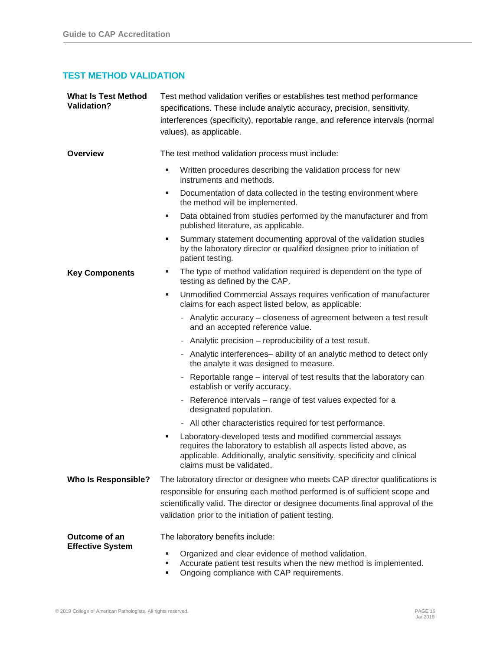# **TEST METHOD VALIDATION**

| <b>What Is Test Method</b><br><b>Validation?</b> | Test method validation verifies or establishes test method performance<br>specifications. These include analytic accuracy, precision, sensitivity,<br>interferences (specificity), reportable range, and reference intervals (normal<br>values), as applicable. |
|--------------------------------------------------|-----------------------------------------------------------------------------------------------------------------------------------------------------------------------------------------------------------------------------------------------------------------|
| <b>Overview</b>                                  | The test method validation process must include:                                                                                                                                                                                                                |
|                                                  | Written procedures describing the validation process for new<br>×,<br>instruments and methods.                                                                                                                                                                  |
|                                                  | Documentation of data collected in the testing environment where<br>п<br>the method will be implemented.                                                                                                                                                        |
|                                                  | Data obtained from studies performed by the manufacturer and from<br>п<br>published literature, as applicable.                                                                                                                                                  |
|                                                  | Summary statement documenting approval of the validation studies<br>٠<br>by the laboratory director or qualified designee prior to initiation of<br>patient testing.                                                                                            |
| <b>Key Components</b>                            | The type of method validation required is dependent on the type of<br>ш<br>testing as defined by the CAP.                                                                                                                                                       |
|                                                  | Unmodified Commercial Assays requires verification of manufacturer<br>×<br>claims for each aspect listed below, as applicable:                                                                                                                                  |
|                                                  | - Analytic accuracy – closeness of agreement between a test result<br>and an accepted reference value.                                                                                                                                                          |
|                                                  | - Analytic precision – reproducibility of a test result.                                                                                                                                                                                                        |
|                                                  | - Analytic interferences-ability of an analytic method to detect only<br>the analyte it was designed to measure.                                                                                                                                                |
|                                                  | Reportable range – interval of test results that the laboratory can<br>$\qquad \qquad \blacksquare$<br>establish or verify accuracy.                                                                                                                            |
|                                                  | Reference intervals - range of test values expected for a<br>$\overline{\phantom{0}}$<br>designated population.                                                                                                                                                 |
|                                                  | - All other characteristics required for test performance.                                                                                                                                                                                                      |
|                                                  | Laboratory-developed tests and modified commercial assays<br>٠<br>requires the laboratory to establish all aspects listed above, as<br>applicable. Additionally, analytic sensitivity, specificity and clinical<br>claims must be validated.                    |
| <b>Who Is Responsible?</b>                       | The laboratory director or designee who meets CAP director qualifications is                                                                                                                                                                                    |
|                                                  | responsible for ensuring each method performed is of sufficient scope and                                                                                                                                                                                       |
|                                                  | scientifically valid. The director or designee documents final approval of the                                                                                                                                                                                  |
|                                                  | validation prior to the initiation of patient testing.                                                                                                                                                                                                          |
| Outcome of an<br><b>Effective System</b>         | The laboratory benefits include:                                                                                                                                                                                                                                |
|                                                  | Organized and clear evidence of method validation.<br>п<br>Accurate patient test results when the new method is implemented.<br>$\mathbb{R}^n$ compliance with $\mathbb{R}^n$ requirements                                                                      |

■ Ongoing compliance with CAP requirements.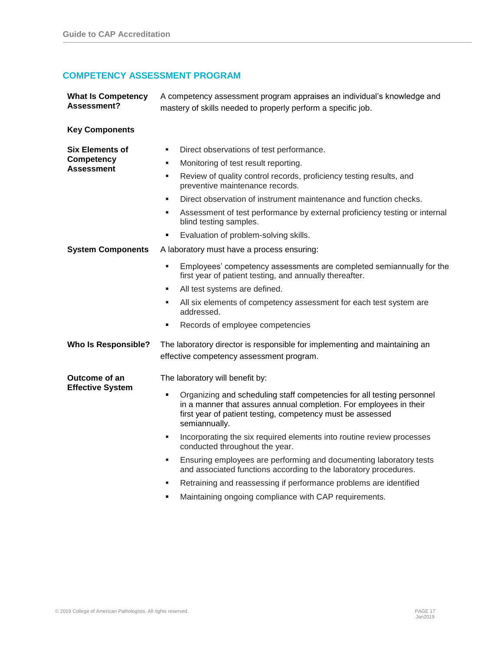# **COMPETENCY ASSESSMENT PROGRAM**

| <b>What Is Competency</b><br>Assessment?                         | A competency assessment program appraises an individual's knowledge and<br>mastery of skills needed to properly perform a specific job.                                                                                                                                                                                                                                                                                                                                                                                                                                                                                                                                    |
|------------------------------------------------------------------|----------------------------------------------------------------------------------------------------------------------------------------------------------------------------------------------------------------------------------------------------------------------------------------------------------------------------------------------------------------------------------------------------------------------------------------------------------------------------------------------------------------------------------------------------------------------------------------------------------------------------------------------------------------------------|
| <b>Key Components</b>                                            |                                                                                                                                                                                                                                                                                                                                                                                                                                                                                                                                                                                                                                                                            |
| <b>Six Elements of</b><br><b>Competency</b><br><b>Assessment</b> | Direct observations of test performance.<br>٠<br>Monitoring of test result reporting.<br>٠<br>Review of quality control records, proficiency testing results, and<br>٠<br>preventive maintenance records.<br>Direct observation of instrument maintenance and function checks.<br>٠<br>Assessment of test performance by external proficiency testing or internal<br>٠<br>blind testing samples.<br>Evaluation of problem-solving skills.<br>٠                                                                                                                                                                                                                             |
| <b>System Components</b>                                         | A laboratory must have a process ensuring:<br>Employees' competency assessments are completed semiannually for the<br>٠                                                                                                                                                                                                                                                                                                                                                                                                                                                                                                                                                    |
|                                                                  | first year of patient testing, and annually thereafter.<br>All test systems are defined.<br>٠<br>All six elements of competency assessment for each test system are<br>٠<br>addressed.<br>Records of employee competencies<br>٠                                                                                                                                                                                                                                                                                                                                                                                                                                            |
| <b>Who Is Responsible?</b>                                       | The laboratory director is responsible for implementing and maintaining an<br>effective competency assessment program.                                                                                                                                                                                                                                                                                                                                                                                                                                                                                                                                                     |
| Outcome of an<br><b>Effective System</b>                         | The laboratory will benefit by:<br>Organizing and scheduling staff competencies for all testing personnel<br>٠<br>in a manner that assures annual completion. For employees in their<br>first year of patient testing, competency must be assessed<br>semiannually.<br>Incorporating the six required elements into routine review processes<br>٠<br>conducted throughout the year.<br>Ensuring employees are performing and documenting laboratory tests<br>٠<br>and associated functions according to the laboratory procedures.<br>Retraining and reassessing if performance problems are identified<br>٠<br>Maintaining ongoing compliance with CAP requirements.<br>٠ |